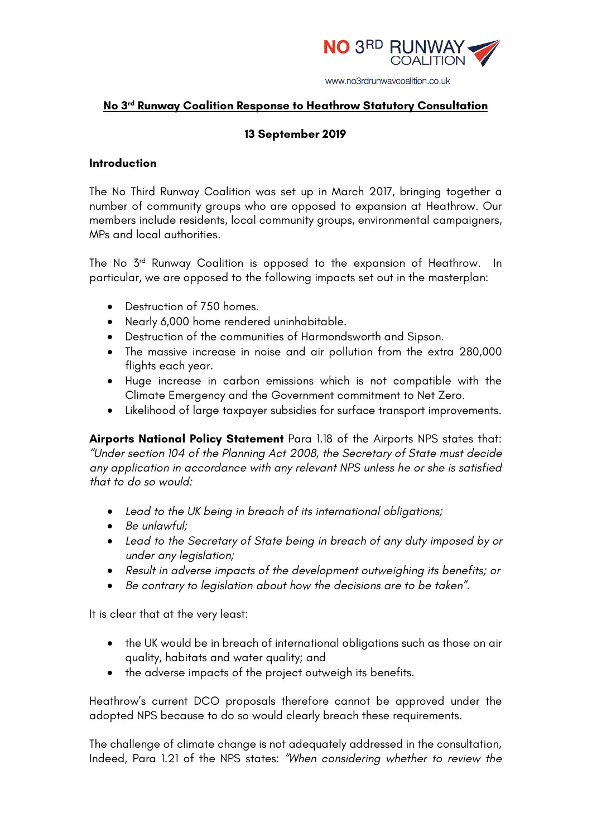

# **No 3rd Runway Coalition Response to Heathrow Statutory Consultation**

# **13 September 2019**

#### **Introduction**

The No Third Runway Coalition was set up in March 2017, bringing together a number of community groups who are opposed to expansion at Heathrow. Our members include residents, local community groups, environmental campaigners, MPs and local authorities.

The No 3rd Runway Coalition is opposed to the expansion of Heathrow. In particular, we are opposed to the following impacts set out in the masterplan:

- Destruction of 750 homes.
- Nearly 6,000 home rendered uninhabitable.
- Destruction of the communities of Harmondsworth and Sipson.
- The massive increase in noise and air pollution from the extra 280,000 flights each year.
- Huge increase in carbon emissions which is not compatible with the Climate Emergency and the Government commitment to Net Zero.
- Likelihood of large taxpayer subsidies for surface transport improvements.

**Airports National Policy Statement** Para 1.18 of the Airports NPS states that: *"Under section 104 of the Planning Act 2008, the Secretary of State must decide any application in accordance with any relevant NPS unless he or she is satisfied that to do so would:* 

- *Lead to the UK being in breach of its international obligations;*
- *Be unlawful;*
- *Lead to the Secretary of State being in breach of any duty imposed by or under any legislation;*
- *Result in adverse impacts of the development outweighing its benefits; or*
- *Be contrary to legislation about how the decisions are to be taken".*

It is clear that at the very least:

- the UK would be in breach of international obligations such as those on air quality, habitats and water quality; and
- the adverse impacts of the project outweigh its benefits.

Heathrow's current DCO proposals therefore cannot be approved under the adopted NPS because to do so would clearly breach these requirements.

The challenge of climate change is not adequately addressed in the consultation, Indeed, Para 1.21 of the NPS states: *"When considering whether to review the*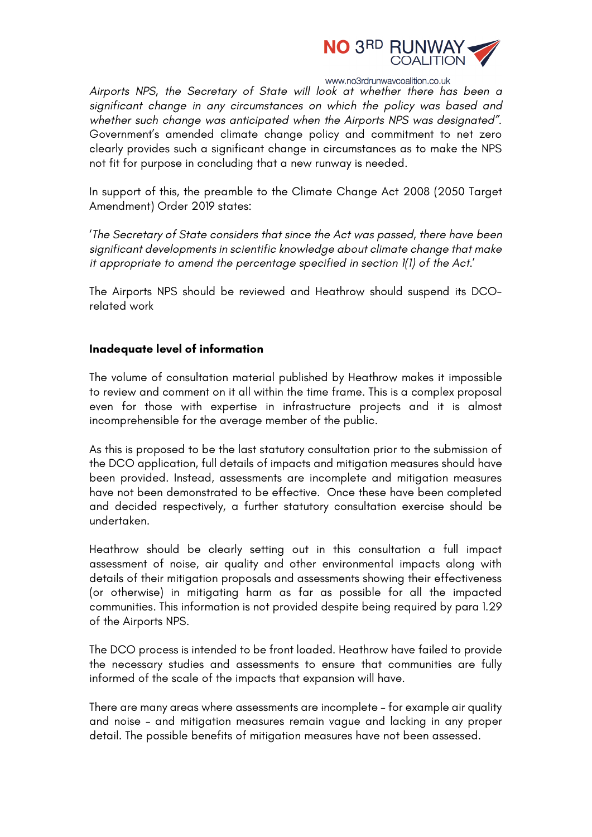

*Airports NPS, the Secretary of State will look at whether there has been a significant change in any circumstances on which the policy was based and whether such change was anticipated when the Airports NPS was designated"*. Government's amended climate change policy and commitment to net zero clearly provides such a significant change in circumstances as to make the NPS not fit for purpose in concluding that a new runway is needed.

In support of this, the preamble to the Climate Change Act 2008 (2050 Target Amendment) Order 2019 states:

'*The Secretary of State considers that since the Act was passed, there have been significant developments in scientific knowledge about climate change that make it appropriate to amend the percentage specified in section 1(1) of the Act.*'

The Airports NPS should be reviewed and Heathrow should suspend its DCOrelated work

#### **Inadequate level of information**

The volume of consultation material published by Heathrow makes it impossible to review and comment on it all within the time frame. This is a complex proposal even for those with expertise in infrastructure projects and it is almost incomprehensible for the average member of the public.

As this is proposed to be the last statutory consultation prior to the submission of the DCO application, full details of impacts and mitigation measures should have been provided. Instead, assessments are incomplete and mitigation measures have not been demonstrated to be effective. Once these have been completed and decided respectively, a further statutory consultation exercise should be undertaken.

Heathrow should be clearly setting out in this consultation a full impact assessment of noise, air quality and other environmental impacts along with details of their mitigation proposals and assessments showing their effectiveness (or otherwise) in mitigating harm as far as possible for all the impacted communities. This information is not provided despite being required by para 1.29 of the Airports NPS.

The DCO process is intended to be front loaded. Heathrow have failed to provide the necessary studies and assessments to ensure that communities are fully informed of the scale of the impacts that expansion will have.

There are many areas where assessments are incomplete – for example air quality and noise – and mitigation measures remain vague and lacking in any proper detail. The possible benefits of mitigation measures have not been assessed.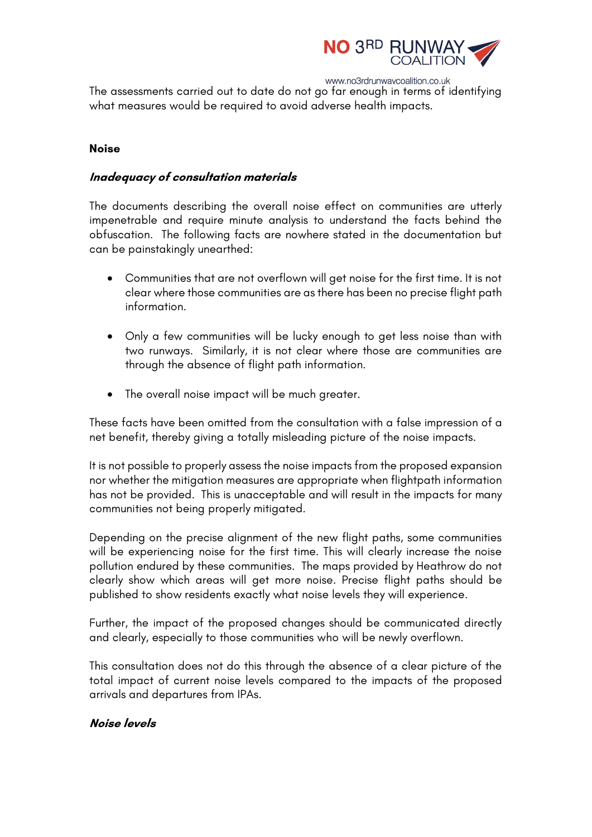

The assessments carried out to date do not go far enough in terms of identifying what measures would be required to avoid adverse health impacts.

#### **Noise**

# **Inadequacy of consultation materials**

The documents describing the overall noise effect on communities are utterly impenetrable and require minute analysis to understand the facts behind the obfuscation. The following facts are nowhere stated in the documentation but can be painstakingly unearthed:

- Communities that are not overflown will get noise for the first time. It is not clear where those communities are as there has been no precise flight path information.
- Only a few communities will be lucky enough to get less noise than with two runways. Similarly, it is not clear where those are communities are through the absence of flight path information.
- The overall noise impact will be much greater.

These facts have been omitted from the consultation with a false impression of a net benefit, thereby giving a totally misleading picture of the noise impacts.

It is not possible to properly assess the noise impacts from the proposed expansion nor whether the mitigation measures are appropriate when flightpath information has not be provided. This is unacceptable and will result in the impacts for many communities not being properly mitigated.

Depending on the precise alignment of the new flight paths, some communities will be experiencing noise for the first time. This will clearly increase the noise pollution endured by these communities. The maps provided by Heathrow do not clearly show which areas will get more noise. Precise flight paths should be published to show residents exactly what noise levels they will experience.

Further, the impact of the proposed changes should be communicated directly and clearly, especially to those communities who will be newly overflown.

This consultation does not do this through the absence of a clear picture of the total impact of current noise levels compared to the impacts of the proposed arrivals and departures from IPAs.

# **Noise levels**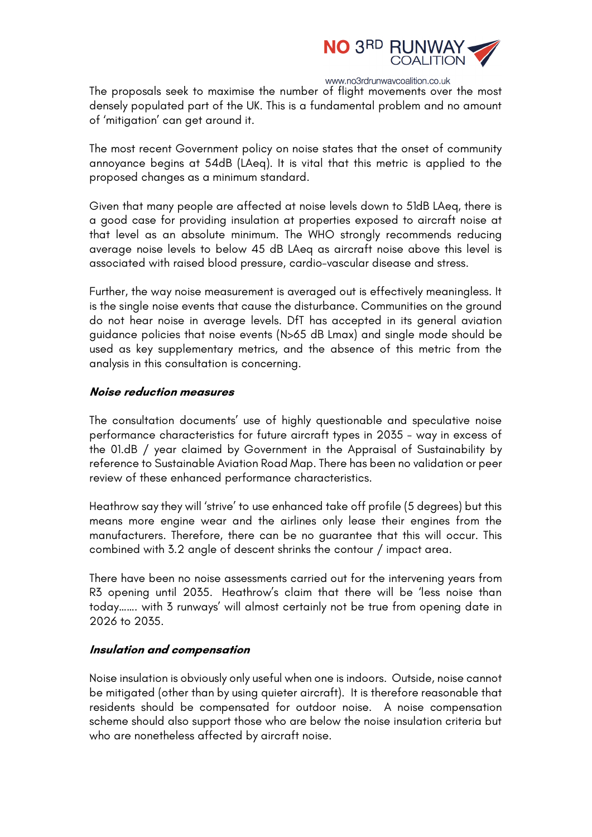

The proposals seek to maximise the number of flight movements over the most densely populated part of the UK. This is a fundamental problem and no amount of 'mitigation' can get around it.

The most recent Government policy on noise states that the onset of community annoyance begins at 54dB (LAeq). It is vital that this metric is applied to the proposed changes as a minimum standard.

Given that many people are affected at noise levels down to 51dB LAeq, there is a good case for providing insulation at properties exposed to aircraft noise at that level as an absolute minimum. The WHO strongly recommends reducing average noise levels to below 45 dB LAeq as aircraft noise above this level is associated with raised blood pressure, cardio-vascular disease and stress.

Further, the way noise measurement is averaged out is effectively meaningless. It is the single noise events that cause the disturbance. Communities on the ground do not hear noise in average levels. DfT has accepted in its general aviation guidance policies that noise events (N>65 dB Lmax) and single mode should be used as key supplementary metrics, and the absence of this metric from the analysis in this consultation is concerning.

#### **Noise reduction measures**

The consultation documents' use of highly questionable and speculative noise performance characteristics for future aircraft types in 2035 - way in excess of the 01.dB / year claimed by Government in the Appraisal of Sustainability by reference to Sustainable Aviation Road Map. There has been no validation or peer review of these enhanced performance characteristics.

Heathrow say they will 'strive' to use enhanced take off profile (5 degrees) but this means more engine wear and the airlines only lease their engines from the manufacturers. Therefore, there can be no guarantee that this will occur. This combined with 3.2 angle of descent shrinks the contour / impact area.

There have been no noise assessments carried out for the intervening years from R3 opening until 2035. Heathrow's claim that there will be 'less noise than today……. with 3 runways' will almost certainly not be true from opening date in 2026 to 2035.

#### **Insulation and compensation**

Noise insulation is obviously only useful when one is indoors. Outside, noise cannot be mitigated (other than by using quieter aircraft). It is therefore reasonable that residents should be compensated for outdoor noise. A noise compensation scheme should also support those who are below the noise insulation criteria but who are nonetheless affected by aircraft noise.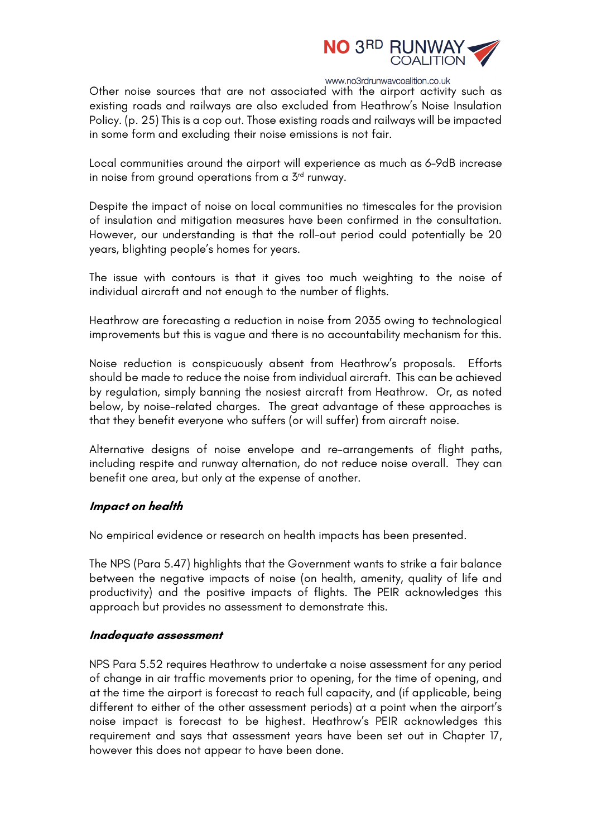

Other noise sources that are not associated with the airport activity such as existing roads and railways are also excluded from Heathrow's Noise Insulation Policy. (p. 25) This is a cop out. Those existing roads and railways will be impacted in some form and excluding their noise emissions is not fair.

Local communities around the airport will experience as much as 6-9dB increase in noise from ground operations from a  $5<sup>rd</sup>$  runway.

Despite the impact of noise on local communities no timescales for the provision of insulation and mitigation measures have been confirmed in the consultation. However, our understanding is that the roll-out period could potentially be 20 years, blighting people's homes for years.

The issue with contours is that it gives too much weighting to the noise of individual aircraft and not enough to the number of flights.

Heathrow are forecasting a reduction in noise from 2035 owing to technological improvements but this is vague and there is no accountability mechanism for this.

Noise reduction is conspicuously absent from Heathrow's proposals. Efforts should be made to reduce the noise from individual aircraft. This can be achieved by regulation, simply banning the nosiest aircraft from Heathrow. Or, as noted below, by noise-related charges. The great advantage of these approaches is that they benefit everyone who suffers (or will suffer) from aircraft noise.

Alternative designs of noise envelope and re-arrangements of flight paths, including respite and runway alternation, do not reduce noise overall. They can benefit one area, but only at the expense of another.

#### **Impact on health**

No empirical evidence or research on health impacts has been presented.

The NPS (Para 5.47) highlights that the Government wants to strike a fair balance between the negative impacts of noise (on health, amenity, quality of life and productivity) and the positive impacts of flights. The PEIR acknowledges this approach but provides no assessment to demonstrate this.

#### **Inadequate assessment**

NPS Para 5.52 requires Heathrow to undertake a noise assessment for any period of change in air traffic movements prior to opening, for the time of opening, and at the time the airport is forecast to reach full capacity, and (if applicable, being different to either of the other assessment periods) at a point when the airport's noise impact is forecast to be highest. Heathrow's PEIR acknowledges this requirement and says that assessment years have been set out in Chapter 17, however this does not appear to have been done.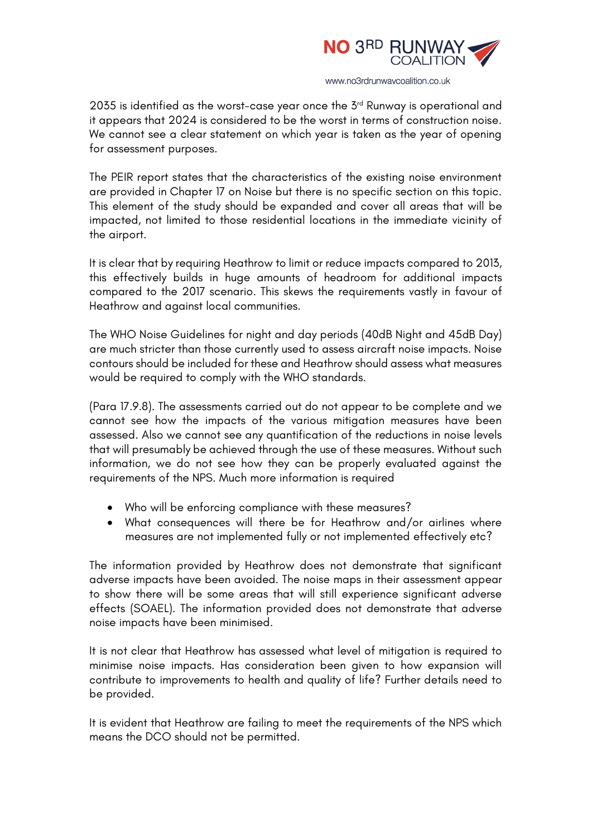

2035 is identified as the worst-case year once the  $5<sup>rd</sup>$  Runway is operational and it appears that 2024 is considered to be the worst in terms of construction noise. We cannot see a clear statement on which year is taken as the year of opening for assessment purposes.

The PEIR report states that the characteristics of the existing noise environment are provided in Chapter 17 on Noise but there is no specific section on this topic. This element of the study should be expanded and cover all areas that will be impacted, not limited to those residential locations in the immediate vicinity of the airport.

It is clear that by requiring Heathrow to limit or reduce impacts compared to 2013, this effectively builds in huge amounts of headroom for additional impacts compared to the 2017 scenario. This skews the requirements vastly in favour of Heathrow and against local communities.

The WHO Noise Guidelines for night and day periods (40dB Night and 45dB Day) are much stricter than those currently used to assess aircraft noise impacts. Noise contours should be included for these and Heathrow should assess what measures would be required to comply with the WHO standards.

(Para 17.9.8). The assessments carried out do not appear to be complete and we cannot see how the impacts of the various mitigation measures have been assessed. Also we cannot see any quantification of the reductions in noise levels that will presumably be achieved through the use of these measures. Without such information, we do not see how they can be properly evaluated against the requirements of the NPS. Much more information is required

- Who will be enforcing compliance with these measures?
- What consequences will there be for Heathrow and/or airlines where measures are not implemented fully or not implemented effectively etc?

The information provided by Heathrow does not demonstrate that significant adverse impacts have been avoided. The noise maps in their assessment appear to show there will be some areas that will still experience significant adverse effects (SOAEL). The information provided does not demonstrate that adverse noise impacts have been minimised.

It is not clear that Heathrow has assessed what level of mitigation is required to minimise noise impacts. Has consideration been given to how expansion will contribute to improvements to health and quality of life? Further details need to be provided.

It is evident that Heathrow are failing to meet the requirements of the NPS which means the DCO should not be permitted.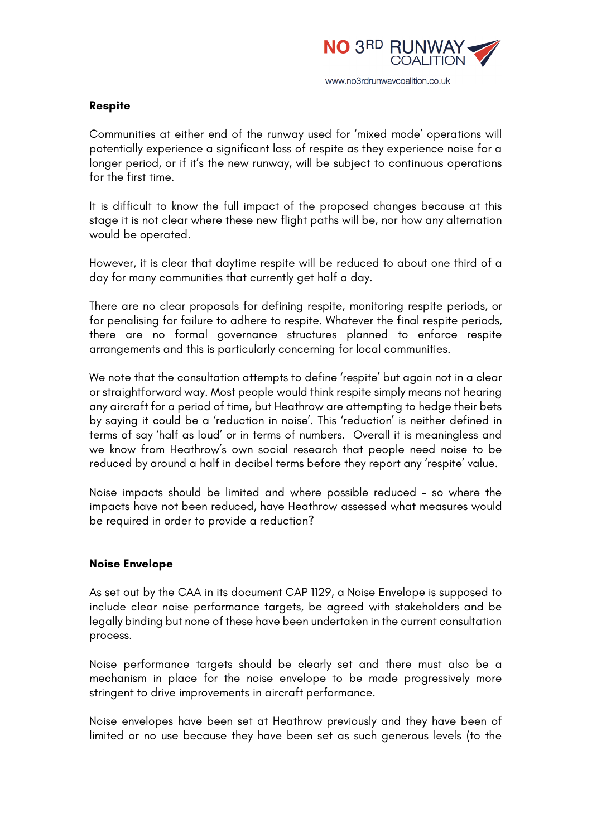

# **Respite**

Communities at either end of the runway used for 'mixed mode' operations will potentially experience a significant loss of respite as they experience noise for a longer period, or if it's the new runway, will be subject to continuous operations for the first time.

It is difficult to know the full impact of the proposed changes because at this stage it is not clear where these new flight paths will be, nor how any alternation would be operated.

However, it is clear that daytime respite will be reduced to about one third of a day for many communities that currently get half a day.

There are no clear proposals for defining respite, monitoring respite periods, or for penalising for failure to adhere to respite. Whatever the final respite periods, there are no formal governance structures planned to enforce respite arrangements and this is particularly concerning for local communities.

We note that the consultation attempts to define 'respite' but again not in a clear or straightforward way. Most people would think respite simply means not hearing any aircraft for a period of time, but Heathrow are attempting to hedge their bets by saying it could be a 'reduction in noise'. This 'reduction' is neither defined in terms of say 'half as loud' or in terms of numbers. Overall it is meaningless and we know from Heathrow's own social research that people need noise to be reduced by around a half in decibel terms before they report any 'respite' value.

Noise impacts should be limited and where possible reduced – so where the impacts have not been reduced, have Heathrow assessed what measures would be required in order to provide a reduction?

#### **Noise Envelope**

As set out by the CAA in its document CAP 1129, a Noise Envelope is supposed to include clear noise performance targets, be agreed with stakeholders and be legally binding but none of these have been undertaken in the current consultation process.

Noise performance targets should be clearly set and there must also be a mechanism in place for the noise envelope to be made progressively more stringent to drive improvements in aircraft performance.

Noise envelopes have been set at Heathrow previously and they have been of limited or no use because they have been set as such generous levels (to the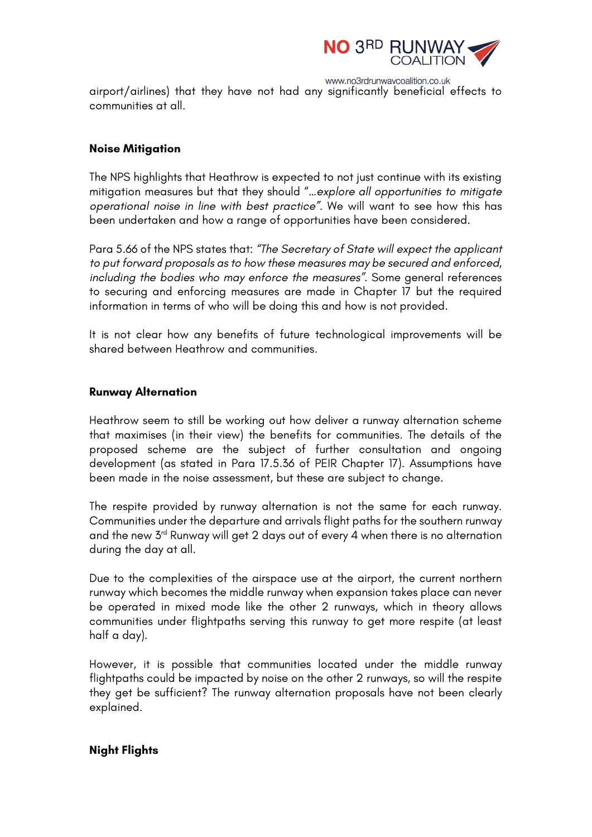

www.no3rdrunwaycoalition.co.uk airport/airlines) that they have not had any significantly beneficial effects to communities at all.

# **Noise Mitigation**

The NPS highlights that Heathrow is expected to not just continue with its existing mitigation measures but that they should "*…explore all opportunities to mitigate operational noise in line with best practice".* We will want to see how this has been undertaken and how a range of opportunities have been considered.

Para 5.66 of the NPS states that: *"The Secretary of State will expect the applicant to put forward proposals as to how these measures may be secured and enforced, including the bodies who may enforce the measures".* Some general references to securing and enforcing measures are made in Chapter 17 but the required information in terms of who will be doing this and how is not provided.

It is not clear how any benefits of future technological improvements will be shared between Heathrow and communities.

# **Runway Alternation**

Heathrow seem to still be working out how deliver a runway alternation scheme that maximises (in their view) the benefits for communities. The details of the proposed scheme are the subject of further consultation and ongoing development (as stated in Para 17.5.36 of PEIR Chapter 17). Assumptions have been made in the noise assessment, but these are subject to change.

The respite provided by runway alternation is not the same for each runway. Communities under the departure and arrivals flight paths for the southern runway and the new 3rd Runway will get 2 days out of every 4 when there is no alternation during the day at all.

Due to the complexities of the airspace use at the airport, the current northern runway which becomes the middle runway when expansion takes place can never be operated in mixed mode like the other 2 runways, which in theory allows communities under flightpaths serving this runway to get more respite (at least half a day).

However, it is possible that communities located under the middle runway flightpaths could be impacted by noise on the other 2 runways, so will the respite they get be sufficient? The runway alternation proposals have not been clearly explained.

# **Night Flights**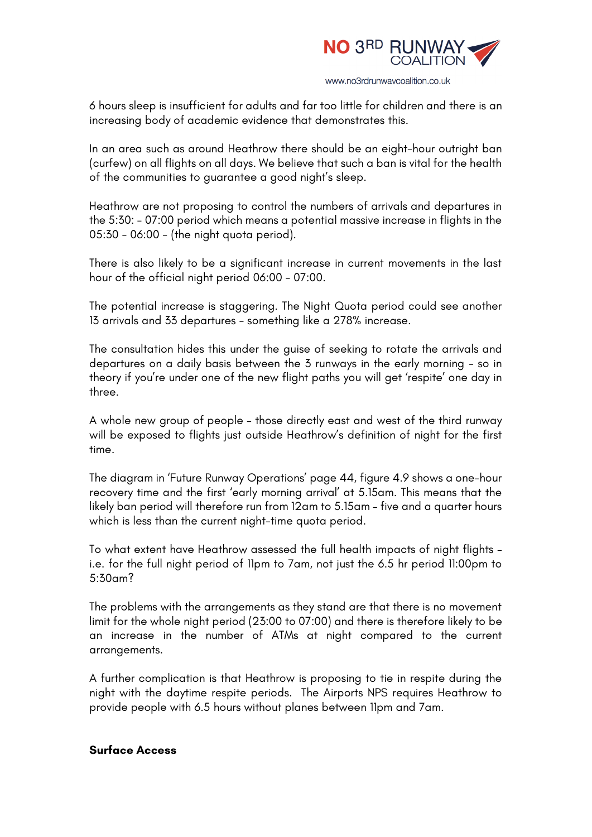

6 hours sleep is insufficient for adults and far too little for children and there is an increasing body of academic evidence that demonstrates this.

In an area such as around Heathrow there should be an eight-hour outright ban (curfew) on all flights on all days. We believe that such a ban is vital for the health of the communities to guarantee a good night's sleep.

Heathrow are not proposing to control the numbers of arrivals and departures in the 5:30: - 07:00 period which means a potential massive increase in flights in the 05:30 - 06:00 - (the night quota period).

There is also likely to be a significant increase in current movements in the last hour of the official night period 06:00 - 07:00.

The potential increase is staggering. The Night Quota period could see another 13 arrivals and 33 departures - something like a 278% increase.

The consultation hides this under the guise of seeking to rotate the arrivals and departures on a daily basis between the 3 runways in the early morning - so in theory if you're under one of the new flight paths you will get 'respite' one day in three.

A whole new group of people – those directly east and west of the third runway will be exposed to flights just outside Heathrow's definition of night for the first time.

The diagram in 'Future Runway Operations' page 44, figure 4.9 shows a one-hour recovery time and the first 'early morning arrival' at 5.15am. This means that the likely ban period will therefore run from 12am to 5.15am – five and a quarter hours which is less than the current night-time quota period.

To what extent have Heathrow assessed the full health impacts of night flights – i.e. for the full night period of 11pm to 7am, not just the 6.5 hr period 11:00pm to 5:30am?

The problems with the arrangements as they stand are that there is no movement limit for the whole night period (23:00 to 07:00) and there is therefore likely to be an increase in the number of ATMs at night compared to the current arrangements.

A further complication is that Heathrow is proposing to tie in respite during the night with the daytime respite periods. The Airports NPS requires Heathrow to provide people with 6.5 hours without planes between 11pm and 7am.

#### **Surface Access**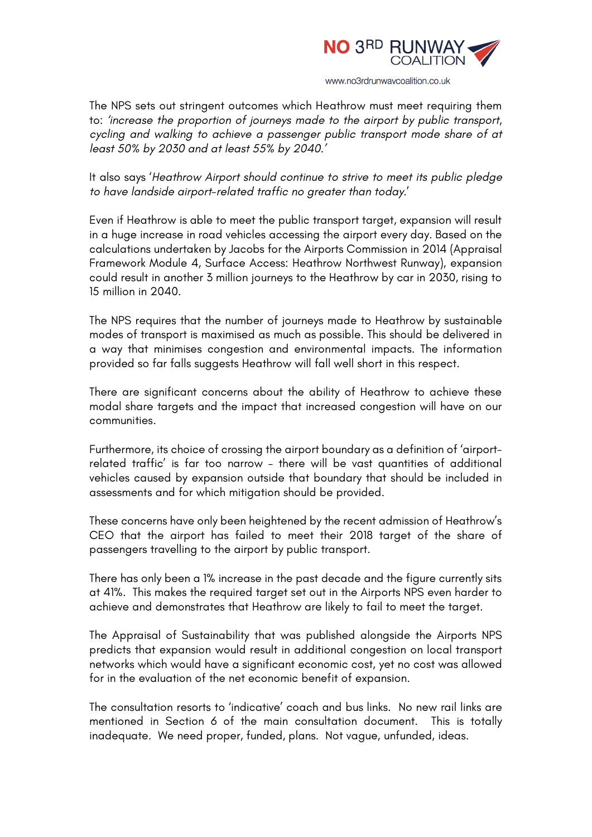

The NPS sets out stringent outcomes which Heathrow must meet requiring them to: *'increase the proportion of journeys made to the airport by public transport, cycling and walking to achieve a passenger public transport mode share of at least 50% by 2030 and at least 55% by 2040.'*

It also says '*Heathrow Airport should continue to strive to meet its public pledge to have landside airport-related traffic no greater than today.*'

Even if Heathrow is able to meet the public transport target, expansion will result in a huge increase in road vehicles accessing the airport every day. Based on the calculations undertaken by Jacobs for the Airports Commission in 2014 (Appraisal Framework Module 4, Surface Access: Heathrow Northwest Runway), expansion could result in another 3 million journeys to the Heathrow by car in 2030, rising to 15 million in 2040.

The NPS requires that the number of journeys made to Heathrow by sustainable modes of transport is maximised as much as possible. This should be delivered in a way that minimises congestion and environmental impacts. The information provided so far falls suggests Heathrow will fall well short in this respect.

There are significant concerns about the ability of Heathrow to achieve these modal share targets and the impact that increased congestion will have on our communities.

Furthermore, its choice of crossing the airport boundary as a definition of 'airportrelated traffic' is far too narrow – there will be vast quantities of additional vehicles caused by expansion outside that boundary that should be included in assessments and for which mitigation should be provided.

These concerns have only been heightened by the recent admission of Heathrow's CEO that the airport has failed to meet their 2018 target of the share of passengers travelling to the airport by public transport.

There has only been a 1% increase in the past decade and the figure currently sits at 41%. This makes the required target set out in the Airports NPS even harder to achieve and demonstrates that Heathrow are likely to fail to meet the target.

The Appraisal of Sustainability that was published alongside the Airports NPS predicts that expansion would result in additional congestion on local transport networks which would have a significant economic cost, yet no cost was allowed for in the evaluation of the net economic benefit of expansion.

The consultation resorts to 'indicative' coach and bus links. No new rail links are mentioned in Section 6 of the main consultation document. This is totally inadequate. We need proper, funded, plans. Not vague, unfunded, ideas.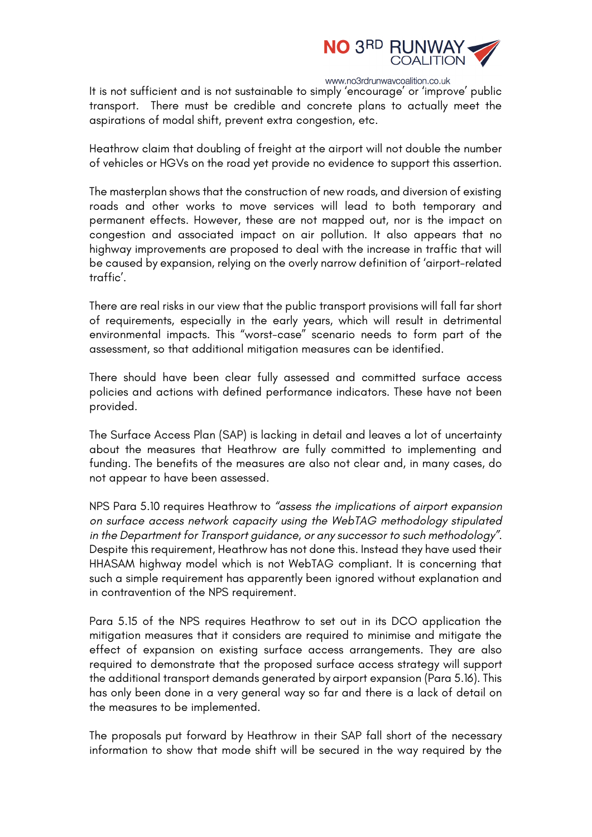

It is not sufficient and is not sustainable to simply 'encourage' or 'improve' public transport. There must be credible and concrete plans to actually meet the aspirations of modal shift, prevent extra congestion, etc.

Heathrow claim that doubling of freight at the airport will not double the number of vehicles or HGVs on the road yet provide no evidence to support this assertion.

The masterplan shows that the construction of new roads, and diversion of existing roads and other works to move services will lead to both temporary and permanent effects. However, these are not mapped out, nor is the impact on congestion and associated impact on air pollution. It also appears that no highway improvements are proposed to deal with the increase in traffic that will be caused by expansion, relying on the overly narrow definition of 'airport-related traffic'.

There are real risks in our view that the public transport provisions will fall far short of requirements, especially in the early years, which will result in detrimental environmental impacts. This "worst-case" scenario needs to form part of the assessment, so that additional mitigation measures can be identified.

There should have been clear fully assessed and committed surface access policies and actions with defined performance indicators. These have not been provided.

The Surface Access Plan (SAP) is lacking in detail and leaves a lot of uncertainty about the measures that Heathrow are fully committed to implementing and funding. The benefits of the measures are also not clear and, in many cases, do not appear to have been assessed.

NPS Para 5.10 requires Heathrow to *"assess the implications of airport expansion on surface access network capacity using the WebTAG methodology stipulated in the Department for Transport guidance, or any successor to such methodology".* Despite this requirement, Heathrow has not done this. Instead they have used their HHASAM highway model which is not WebTAG compliant. It is concerning that such a simple requirement has apparently been ignored without explanation and in contravention of the NPS requirement.

Para 5.15 of the NPS requires Heathrow to set out in its DCO application the mitigation measures that it considers are required to minimise and mitigate the effect of expansion on existing surface access arrangements. They are also required to demonstrate that the proposed surface access strategy will support the additional transport demands generated by airport expansion (Para 5.16). This has only been done in a very general way so far and there is a lack of detail on the measures to be implemented.

The proposals put forward by Heathrow in their SAP fall short of the necessary information to show that mode shift will be secured in the way required by the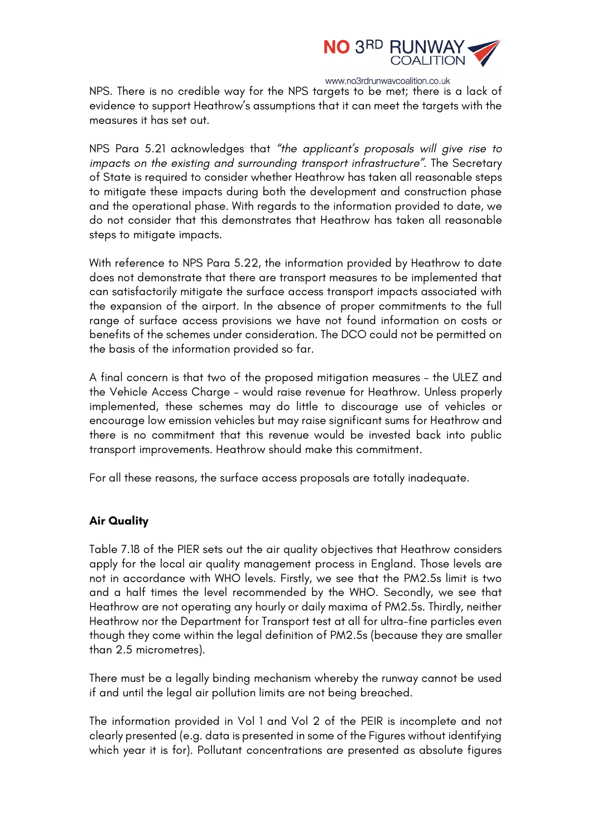

NPS. There is no credible way for the NPS targets to be met; there is a lack of evidence to support Heathrow's assumptions that it can meet the targets with the measures it has set out.

NPS Para 5.21 acknowledges that *"the applicant's proposals will give rise to impacts on the existing and surrounding transport infrastructure".* The Secretary of State is required to consider whether Heathrow has taken all reasonable steps to mitigate these impacts during both the development and construction phase and the operational phase. With regards to the information provided to date, we do not consider that this demonstrates that Heathrow has taken all reasonable steps to mitigate impacts.

With reference to NPS Para 5.22, the information provided by Heathrow to date does not demonstrate that there are transport measures to be implemented that can satisfactorily mitigate the surface access transport impacts associated with the expansion of the airport. In the absence of proper commitments to the full range of surface access provisions we have not found information on costs or benefits of the schemes under consideration. The DCO could not be permitted on the basis of the information provided so far.

A final concern is that two of the proposed mitigation measures – the ULEZ and the Vehicle Access Charge – would raise revenue for Heathrow. Unless properly implemented, these schemes may do little to discourage use of vehicles or encourage low emission vehicles but may raise significant sums for Heathrow and there is no commitment that this revenue would be invested back into public transport improvements. Heathrow should make this commitment.

For all these reasons, the surface access proposals are totally inadequate.

# **Air Quality**

Table 7.18 of the PIER sets out the air quality objectives that Heathrow considers apply for the local air quality management process in England. Those levels are not in accordance with WHO levels. Firstly, we see that the PM2.5s limit is two and a half times the level recommended by the WHO. Secondly, we see that Heathrow are not operating any hourly or daily maxima of PM2.5s. Thirdly, neither Heathrow nor the Department for Transport test at all for ultra-fine particles even though they come within the legal definition of PM2.5s (because they are smaller than 2.5 micrometres).

There must be a legally binding mechanism whereby the runway cannot be used if and until the legal air pollution limits are not being breached.

The information provided in Vol 1 and Vol 2 of the PEIR is incomplete and not clearly presented (e.g. data is presented in some of the Figures without identifying which year it is for). Pollutant concentrations are presented as absolute figures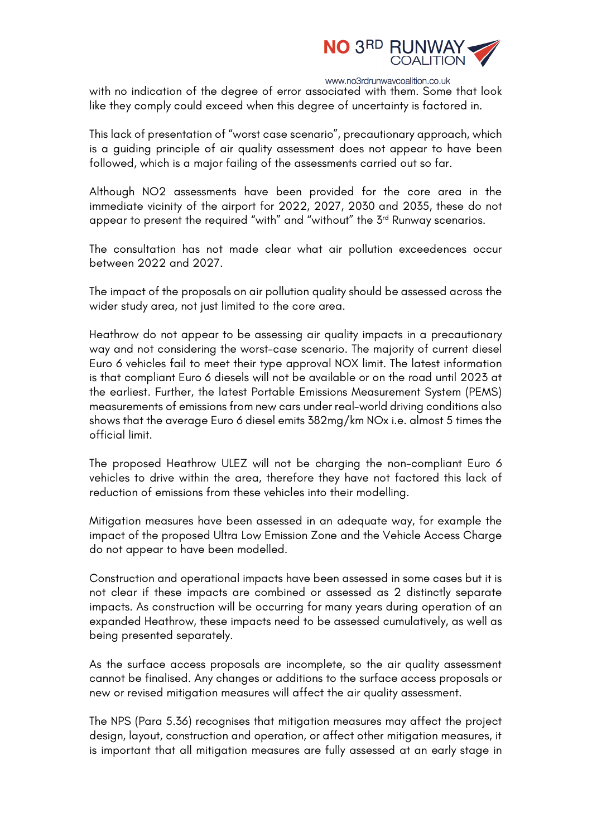

with no indication of the degree of error associated with them. Some that look like they comply could exceed when this degree of uncertainty is factored in.

This lack of presentation of "worst case scenario", precautionary approach, which is a guiding principle of air quality assessment does not appear to have been followed, which is a major failing of the assessments carried out so far.

Although NO2 assessments have been provided for the core area in the immediate vicinity of the airport for 2022, 2027, 2030 and 2035, these do not appear to present the required "with" and "without" the 3<sup>rd</sup> Runway scenarios.

The consultation has not made clear what air pollution exceedences occur between 2022 and 2027.

The impact of the proposals on air pollution quality should be assessed across the wider study area, not just limited to the core area.

Heathrow do not appear to be assessing air quality impacts in a precautionary way and not considering the worst-case scenario. The majority of current diesel Euro 6 vehicles fail to meet their type approval NOX limit. The latest information is that compliant Euro 6 diesels will not be available or on the road until 2023 at the earliest. Further, the latest Portable Emissions Measurement System (PEMS) measurements of emissions from new cars under real-world driving conditions also shows that the average Euro 6 diesel emits 382mg/km NOx i.e. almost 5 times the official limit.

The proposed Heathrow ULEZ will not be charging the non-compliant Euro 6 vehicles to drive within the area, therefore they have not factored this lack of reduction of emissions from these vehicles into their modelling.

Mitigation measures have been assessed in an adequate way, for example the impact of the proposed Ultra Low Emission Zone and the Vehicle Access Charge do not appear to have been modelled.

Construction and operational impacts have been assessed in some cases but it is not clear if these impacts are combined or assessed as 2 distinctly separate impacts. As construction will be occurring for many years during operation of an expanded Heathrow, these impacts need to be assessed cumulatively, as well as being presented separately.

As the surface access proposals are incomplete, so the air quality assessment cannot be finalised. Any changes or additions to the surface access proposals or new or revised mitigation measures will affect the air quality assessment.

The NPS (Para 5.36) recognises that mitigation measures may affect the project design, layout, construction and operation, or affect other mitigation measures, it is important that all mitigation measures are fully assessed at an early stage in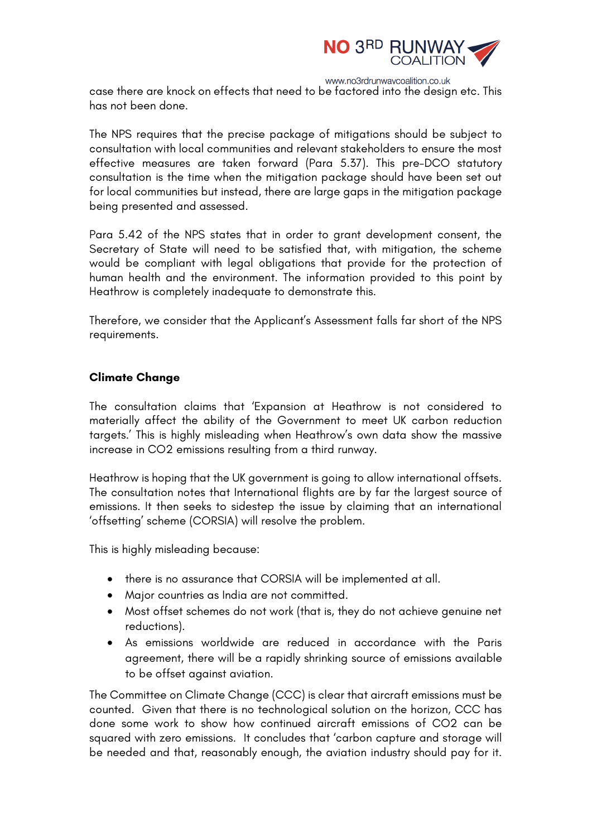

case there are knock on effects that need to be factored into the design etc. This has not been done.

The NPS requires that the precise package of mitigations should be subject to consultation with local communities and relevant stakeholders to ensure the most effective measures are taken forward (Para 5.37). This pre-DCO statutory consultation is the time when the mitigation package should have been set out for local communities but instead, there are large gaps in the mitigation package being presented and assessed.

Para 5.42 of the NPS states that in order to grant development consent, the Secretary of State will need to be satisfied that, with mitigation, the scheme would be compliant with legal obligations that provide for the protection of human health and the environment. The information provided to this point by Heathrow is completely inadequate to demonstrate this.

Therefore, we consider that the Applicant's Assessment falls far short of the NPS requirements.

# **Climate Change**

The consultation claims that 'Expansion at Heathrow is not considered to materially affect the ability of the Government to meet UK carbon reduction targets.' This is highly misleading when Heathrow's own data show the massive increase in CO2 emissions resulting from a third runway.

Heathrow is hoping that the UK government is going to allow international offsets. The consultation notes that International flights are by far the largest source of emissions. It then seeks to sidestep the issue by claiming that an international 'offsetting' scheme (CORSIA) will resolve the problem.

This is highly misleading because:

- there is no assurance that CORSIA will be implemented at all.
- Major countries as India are not committed.
- Most offset schemes do not work (that is, they do not achieve genuine net reductions).
- As emissions worldwide are reduced in accordance with the Paris agreement, there will be a rapidly shrinking source of emissions available to be offset against aviation.

The Committee on Climate Change (CCC) is clear that aircraft emissions must be counted. Given that there is no technological solution on the horizon, CCC has done some work to show how continued aircraft emissions of CO2 can be squared with zero emissions. It concludes that 'carbon capture and storage will be needed and that, reasonably enough, the aviation industry should pay for it.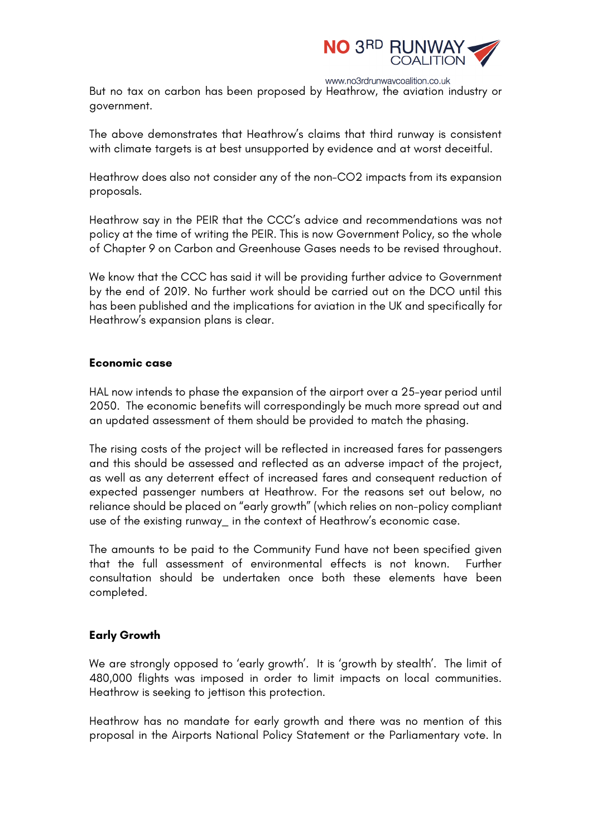

www.no3rdrunwaycoalition.co.uk But no tax on carbon has been proposed by Heathrow, the aviation industry or government.

The above demonstrates that Heathrow's claims that third runway is consistent with climate targets is at best unsupported by evidence and at worst deceitful.

Heathrow does also not consider any of the non-CO2 impacts from its expansion proposals.

Heathrow say in the PEIR that the CCC's advice and recommendations was not policy at the time of writing the PEIR. This is now Government Policy, so the whole of Chapter 9 on Carbon and Greenhouse Gases needs to be revised throughout.

We know that the CCC has said it will be providing further advice to Government by the end of 2019. No further work should be carried out on the DCO until this has been published and the implications for aviation in the UK and specifically for Heathrow's expansion plans is clear.

# **Economic case**

HAL now intends to phase the expansion of the airport over a 25-year period until 2050. The economic benefits will correspondingly be much more spread out and an updated assessment of them should be provided to match the phasing.

The rising costs of the project will be reflected in increased fares for passengers and this should be assessed and reflected as an adverse impact of the project, as well as any deterrent effect of increased fares and consequent reduction of expected passenger numbers at Heathrow. For the reasons set out below, no reliance should be placed on "early growth" (which relies on non-policy compliant use of the existing runway\_ in the context of Heathrow's economic case.

The amounts to be paid to the Community Fund have not been specified given that the full assessment of environmental effects is not known. Further consultation should be undertaken once both these elements have been completed.

# **Early Growth**

We are strongly opposed to 'early growth'. It is 'growth by stealth'. The limit of 480,000 flights was imposed in order to limit impacts on local communities. Heathrow is seeking to jettison this protection.

Heathrow has no mandate for early growth and there was no mention of this proposal in the Airports National Policy Statement or the Parliamentary vote. In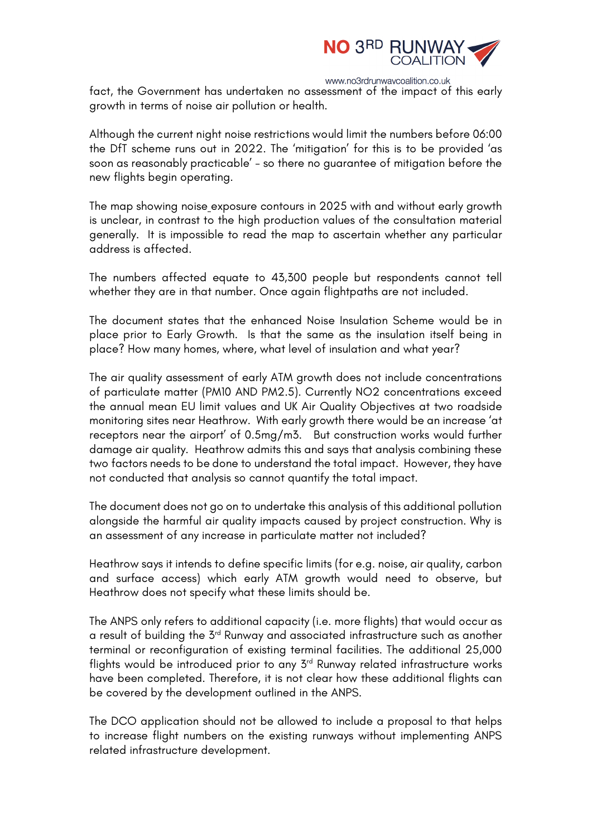

fact, the Government has undertaken no assessment of the impact of this early growth in terms of noise air pollution or health.

Although the current night noise restrictions would limit the numbers before 06:00 the DfT scheme runs out in 2022. The 'mitigation' for this is to be provided 'as soon as reasonably practicable' - so there no guarantee of mitigation before the new flights begin operating.

The map showing noise exposure contours in 2025 with and without early growth is unclear, in contrast to the high production values of the consultation material generally. It is impossible to read the map to ascertain whether any particular address is affected.

The numbers affected equate to 43,300 people but respondents cannot tell whether they are in that number. Once again flightpaths are not included.

The document states that the enhanced Noise Insulation Scheme would be in place prior to Early Growth. Is that the same as the insulation itself being in place? How many homes, where, what level of insulation and what year?

The air quality assessment of early ATM growth does not include concentrations of particulate matter (PM10 AND PM2.5). Currently NO2 concentrations exceed the annual mean EU limit values and UK Air Quality Objectives at two roadside monitoring sites near Heathrow. With early growth there would be an increase 'at receptors near the airport' of 0.5mg/m3. But construction works would further damage air quality. Heathrow admits this and says that analysis combining these two factors needs to be done to understand the total impact. However, they have not conducted that analysis so cannot quantify the total impact.

The document does not go on to undertake this analysis of this additional pollution alongside the harmful air quality impacts caused by project construction. Why is an assessment of any increase in particulate matter not included?

Heathrow says it intends to define specific limits (for e.g. noise, air quality, carbon and surface access) which early ATM growth would need to observe, but Heathrow does not specify what these limits should be.

The ANPS only refers to additional capacity (i.e. more flights) that would occur as a result of building the 3<sup>rd</sup> Runway and associated infrastructure such as another terminal or reconfiguration of existing terminal facilities. The additional 25,000 flights would be introduced prior to any 3<sup>rd</sup> Runway related infrastructure works have been completed. Therefore, it is not clear how these additional flights can be covered by the development outlined in the ANPS.

The DCO application should not be allowed to include a proposal to that helps to increase flight numbers on the existing runways without implementing ANPS related infrastructure development.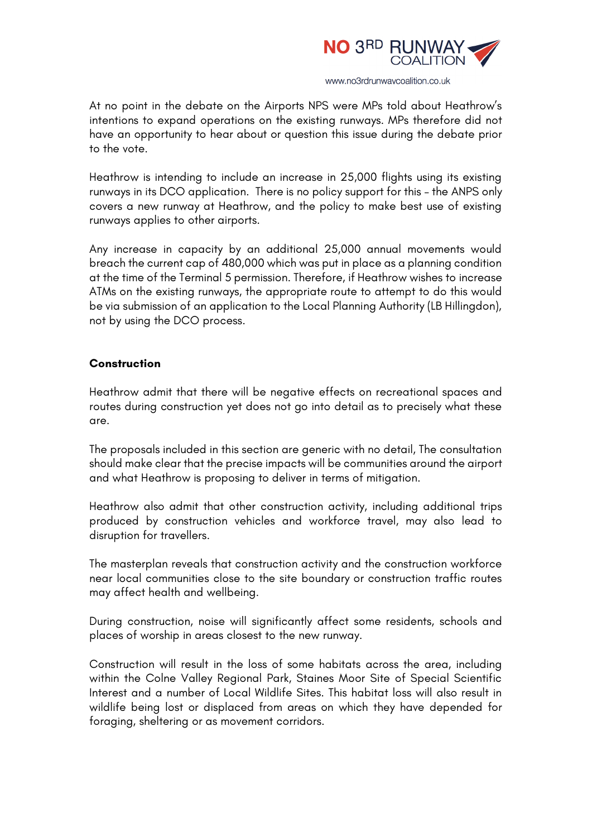

At no point in the debate on the Airports NPS were MPs told about Heathrow's intentions to expand operations on the existing runways. MPs therefore did not have an opportunity to hear about or question this issue during the debate prior to the vote.

Heathrow is intending to include an increase in 25,000 flights using its existing runways in its DCO application. There is no policy support for this – the ANPS only covers a new runway at Heathrow, and the policy to make best use of existing runways applies to other airports.

Any increase in capacity by an additional 25,000 annual movements would breach the current cap of 480,000 which was put in place as a planning condition at the time of the Terminal 5 permission. Therefore, if Heathrow wishes to increase ATMs on the existing runways, the appropriate route to attempt to do this would be via submission of an application to the Local Planning Authority (LB Hillingdon), not by using the DCO process.

#### **Construction**

Heathrow admit that there will be negative effects on recreational spaces and routes during construction yet does not go into detail as to precisely what these are.

The proposals included in this section are generic with no detail, The consultation should make clear that the precise impacts will be communities around the airport and what Heathrow is proposing to deliver in terms of mitigation.

Heathrow also admit that other construction activity, including additional trips produced by construction vehicles and workforce travel, may also lead to disruption for travellers.

The masterplan reveals that construction activity and the construction workforce near local communities close to the site boundary or construction traffic routes may affect health and wellbeing.

During construction, noise will significantly affect some residents, schools and places of worship in areas closest to the new runway.

Construction will result in the loss of some habitats across the area, including within the Colne Valley Regional Park, Staines Moor Site of Special Scientific Interest and a number of Local Wildlife Sites. This habitat loss will also result in wildlife being lost or displaced from areas on which they have depended for foraging, sheltering or as movement corridors.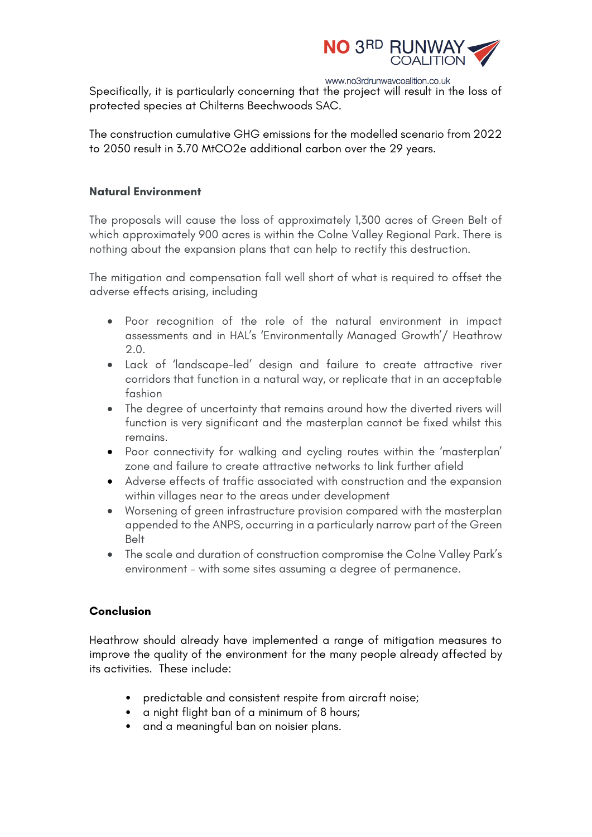

Specifically, it is particularly concerning that the project will result in the loss of protected species at Chilterns Beechwoods SAC.

The construction cumulative GHG emissions for the modelled scenario from 2022 to 2050 result in 3.70 MtCO2e additional carbon over the 29 years.

# **Natural Environment**

The proposals will cause the loss of approximately 1,300 acres of Green Belt of which approximately 900 acres is within the Colne Valley Regional Park. There is nothing about the expansion plans that can help to rectify this destruction.

The mitigation and compensation fall well short of what is required to offset the adverse effects arising, including

- Poor recognition of the role of the natural environment in impact assessments and in HAL's 'Environmentally Managed Growth'/ Heathrow 2.0.
- Lack of 'landscape-led' design and failure to create attractive river corridors that function in a natural way, or replicate that in an acceptable fashion
- The degree of uncertainty that remains around how the diverted rivers will function is very significant and the masterplan cannot be fixed whilst this remains.
- Poor connectivity for walking and cycling routes within the 'masterplan' zone and failure to create attractive networks to link further afield
- Adverse effects of traffic associated with construction and the expansion within villages near to the areas under development
- Worsening of green infrastructure provision compared with the masterplan appended to the ANPS, occurring in a particularly narrow part of the Green Belt
- The scale and duration of construction compromise the Colne Valley Park's environment – with some sites assuming a degree of permanence.

# **Conclusion**

Heathrow should already have implemented a range of mitigation measures to improve the quality of the environment for the many people already affected by its activities. These include:

- predictable and consistent respite from aircraft noise;
- a night flight ban of a minimum of 8 hours;
- and a meaningful ban on noisier plans.